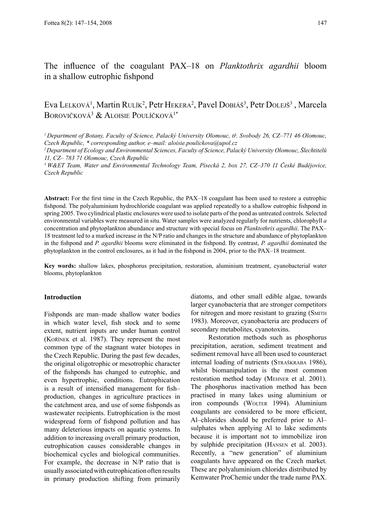# The influence of the coagulant PAX–18 on *Planktothrix agardhii* bloom in a shallow eutrophic fishpond

# Eva Lelková<sup>1</sup>, Martin Rulík<sup>2</sup>, Petr Hekera<sup>2</sup>, Pavel Dobiáš<sup>3</sup>, Petr Dolejš<sup>3</sup>, Marcela BOROVIČKOVÁ<sup>3</sup> & ALOISIE POULÍČKOVÁ<sup>1\*</sup>

*<sup>1</sup>Department of Botany, Faculty of Science, Palacký University Olomouc, tř. Svobody 26, CZ–771 46 Olomouc, Czech Republic, \* corresponding author, e–mail: aloisie.poulickova@upol.cz* 

**Abstract:** For the first time in the Czech Republic, the PAX–18 coagulant has been used to restore a eutrophic fishpond. The polyaluminium hydrochloride coagulant was applied repeatedly to a shallow eutrophic fishpond in spring 2005. Two cylindrical plastic enclosures were used to isolate parts of the pond as untreated controls. Selected environmental variables were measured in situ. Water samples were analyzed regularly for nutrients, chlorophyll *a* concentration and phytoplankton abundance and structure with special focus on *Planktothrix agardhii*. The PAX– 18 treatment led to a marked increase in the N/P ratio and changes in the structure and abundance of phytoplankton in the fishpond and *P. agardhii* blooms were eliminated in the fishpond. By contrast, *P. agardhii* dominated the phytoplankton in the control enclosures, as it had in the fishpond in 2004, prior to the PAX–18 treatment.

**Key words:** shallow lakes, phosphorus precipitation, restoration, aluminium treatment, cyanobacterial water blooms, phytoplankton

## **Introduction**

Fishponds are man–made shallow water bodies in which water level, fish stock and to some extent, nutrient inputs are under human control (Kořínek et al. 1987). They represent the most common type of the stagnant water biotopes in the Czech Republic. During the past few decades, the original oligotrophic or mesotrophic character of the fishponds has changed to eutrophic, and even hypertrophic, conditions. Eutrophication is a result of intensified management for fish– production, changes in agriculture practices in the catchment area, and use of some fishponds as wastewater recipients. Eutrophication is the most widespread form of fishpond pollution and has many deleterious impacts on aquatic systems. In addition to increasing overall primary production, eutrophication causes considerable changes in biochemical cycles and biological communities. For example, the decrease in N/P ratio that is usually associated with eutrophication often results in primary production shifting from primarily

diatoms, and other small edible algae, towards larger cyanobacteria that are stronger competitors for nitrogen and more resistant to grazing (SMITH) 1983). Moreover, cyanobacteria are producers of secondary metabolites, cyanotoxins.

Restoration methods such as phosphorus precipitation, aeration, sediment treatment and sediment removal have all been used to counteract internal loading of nutrients (STRAŠKRABA 1986), whilst biomanipulation is the most common restoration method today (Mehner et al. 2001). The phosphorus inactivation method has been practised in many lakes using aluminium or iron compounds (WOLTER 1994). Aluminium coagulants are considered to be more efficient, Al–chlorides should be preferred prior to Al– sulphates when applying Al to lake sediments because it is important not to immobilize iron by sulphide precipitation (Hansen et al. 2003). Recently, a "new generation" of aluminium coagulants have appeared on the Czech market. These are polyaluminium chlorides distributed by Kemwater ProChemie under the trade name PAX.

*<sup>2</sup> Department of Ecology and Environmental Sciences, Faculty of Science, Palacký University Olomouc, Šlechtitelů 11, CZ– 783 71 Olomouc, Czech Republic*

*<sup>3</sup> W&ET Team, Water and Environmental Technology Team, Písecká 2, box 27, CZ–370 11 České Budějovice, Czech Republic*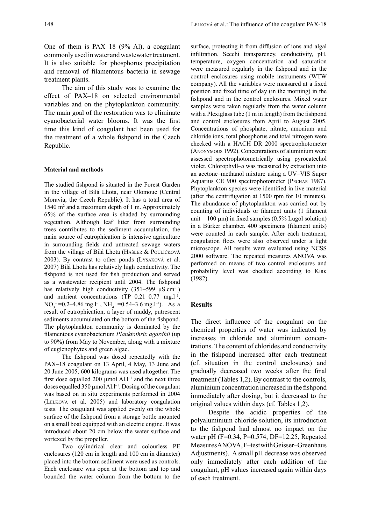One of them is PAX–18 (9% Al), a coagulant commonly used in waterand wastewater treatment. It is also suitable for phosphorus precipitation and removal of filamentous bacteria in sewage treatment plants.

The aim of this study was to examine the effect of PAX–18 on selected environmental variables and on the phytoplankton community. The main goal of the restoration was to eliminate cyanobacterial water blooms. It was the first time this kind of coagulant had been used for the treatment of a whole fishpond in the Czech Republic.

### **Material and methods**

The studied fishpond is situated in the Forest Garden in the village of Bílá Lhota, near Olomouc (Central Moravia, the Czech Republic). It has a total area of 1540 m<sup>2</sup> and a maximum depth of 1 m. Approximately 65% of the surface area is shaded by surrounding vegetation. Although leaf litter from surrounding trees contributes to the sediment accumulation, the main source of eutrophication is intensive agriculture in surrounding fields and untreated sewage waters from the village of Bílá Lhota (Hašler & Poulíčková 2003). By contrast to other ponds (Lysáková et al. 2007) Bílá Lhota has relatively high conductivity. The fishpond is not used for fish production and served as a wastewater recipient until 2004. The fishpond has relatively high conductivity  $(351-599 \mu S.cm^{-1})$ and nutrient concentrations  $(TP=0.21-0.77 \text{ mg.} l^{-1})$ ,  $NO_3^-$  = 0.2–4.86 mg.l<sup>-1</sup>,  $NH_4$ <sup>+</sup> = 0.54–3.6 mg.l<sup>-1</sup>). As a result of eutrophication, a layer of muddy, putrescent sediments accumulated on the bottom of the fishpond. The phytoplankton community is dominated by the filamentous cyanobacterium *Planktothrix agardhii* (up to 90%) from May to November, along with a mixture of euglenophytes and green algae.

The fishpond was dosed repeatedly with the PAX–18 coagulant on 13 April, 4 May, 13 June and 20 June 2005, 600 kilograms was used altogether. The first dose equalled 200  $\mu$ mol Al.l<sup>-1</sup> and the next three doses equalled 350 µmol Al. $l^{-1}$ . Dosing of the coagulant was based on in situ experiments performed in 2004 (Lelková et al. 2005) and laboratory coagulation tests. The coagulant was applied evenly on the whole surface of the fishpond from a storage bottle mounted on a small boat equipped with an electric engine. It was introduced about 20 cm below the water surface and vortexed by the propeller.

Two cylindrical clear and colourless PE enclosures (120 cm in length and 100 cm in diameter) placed into the bottom sediment were used as controls. Each enclosure was open at the bottom and top and bounded the water column from the bottom to the surface, protecting it from diffusion of ions and algal infiltration. Secchi transparency, conductivity, pH, temperature, oxygen concentration and saturation were measured regularly in the fishpond and in the control enclosures using mobile instruments (WTW company). All the variables were measured at a fixed position and fixed time of day (in the morning) in the fishpond and in the control enclosures. Mixed water samples were taken regularly from the water column with a Plexiglass tube (1 m in length) from the fishpond and control enclosures from April to August 2005. Concentrations of phosphate, nitrate, amonium and chloride ions, total phosphorus and total nitrogen were checked with a HACH DR 2000 spectrophotometer (Anonymous 1992). Concentrations of aluminium were assessed spectrophotometrically using pyrocatechol violet. Chlorophyll–*a* was measured by extraction into an acetone–methanol mixture using a UV–VIS Super Aquarius CE 900 spectrophotometer (Pechar 1987). Phytoplankton species were identified in live material (after the centrifugation at 1500 rpm for 10 minutes). The abundance of phytoplankton was carried out by counting of individuals or filament units (1 filament unit = 100  $\mu$ m) in fixed samples (0.5% Lugol solution) in a Bűrker chamber. 400 specimens (filament units) were counted in each sample. After each treatment, coagulation flocs were also observed under a light microscope. All results were evaluated using NCSS 2000 software. The repeated measures ANOVA was performed on means of two control enclosures and probability level was checked according to Kirk (1982).

## **Results**

The direct influence of the coagulant on the chemical properties of water was indicated by increases in chloride and aluminium concentrations. The content of chlorides and conductivity in the fishpond increased after each treatment (cf. situation in the control enclosures) and gradually decreased two weeks after the final treatment (Tables 1,2). By contrast to the controls, aluminium concentration increased in the fishpond immediately after dosing, but it decreased to the original values within days (cf. Tables 1,2).

Despite the acidic properties of the polyaluminium chloride solution, its introduction to the fishpond had almost no impact on the water pH (F=0.34, P=0.574, DF=12.25, Repeated Measures ANOVA, F–test with Geisser–Greenhaus Adjustments). A small pH decrease was observed only immediately after each addition of the coagulant, pH values increased again within days of each treatment.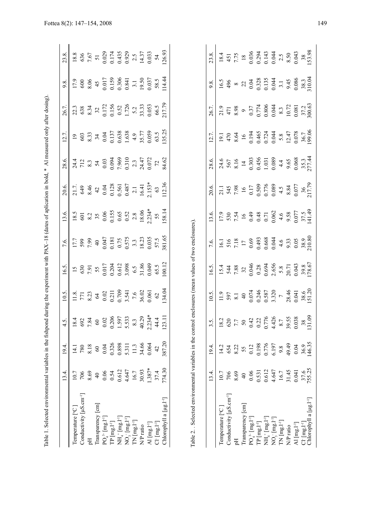|                                           | 13.4.                                                            | 19.4.                   | $\dot{\gamma}$                                                                                                             | 10.5.                                                                                                                                                                                                                                                                                           | 16.5                                                                                                                                              | 7.6.                                                                                                          | 13.6.                                                              | 20.6.  | 28.6.                                                               | 12.7                                                                                                                                          | 26.7                                                                                                                                                                                                                                                                                                            | 9.8.                                                                               | 23.8.                                                                                                                          |
|-------------------------------------------|------------------------------------------------------------------|-------------------------|----------------------------------------------------------------------------------------------------------------------------|-------------------------------------------------------------------------------------------------------------------------------------------------------------------------------------------------------------------------------------------------------------------------------------------------|---------------------------------------------------------------------------------------------------------------------------------------------------|---------------------------------------------------------------------------------------------------------------|--------------------------------------------------------------------|--------|---------------------------------------------------------------------|-----------------------------------------------------------------------------------------------------------------------------------------------|-----------------------------------------------------------------------------------------------------------------------------------------------------------------------------------------------------------------------------------------------------------------------------------------------------------------|------------------------------------------------------------------------------------|--------------------------------------------------------------------------------------------------------------------------------|
| [emperature [°C]                          | 10.7                                                             |                         |                                                                                                                            |                                                                                                                                                                                                                                                                                                 |                                                                                                                                                   |                                                                                                               |                                                                    |        |                                                                     |                                                                                                                                               |                                                                                                                                                                                                                                                                                                                 |                                                                                    |                                                                                                                                |
| Conductivity $\left[\mu S.cm^{-1}\right]$ |                                                                  | 780                     |                                                                                                                            |                                                                                                                                                                                                                                                                                                 |                                                                                                                                                   |                                                                                                               |                                                                    |        |                                                                     |                                                                                                                                               |                                                                                                                                                                                                                                                                                                                 |                                                                                    |                                                                                                                                |
|                                           | 8.69                                                             | 8.18                    | $\begin{array}{r} 18.4 \\ 692 \\ 784 \\ 60 \\ 0.02 \\ 0.03 \\ 0.597 \\ 1.597 \\ 5.33 \\ 3.3 \\ 40.29 \\ 40.29 \end{array}$ | $\begin{array}{r} 11.8. \\ 771. \\ 8.23. \\ 64. \\ 0.021. \\ 0.709 \\ 0.709 \\ 7.6. \\ 7.6. \\ 9.602. \\ 9.603. \\ 9.602. \\ 9.603. \\ 9.603. \\ 9.603. \\ 9.603. \\ 9.603. \\ 9.603. \\ 9.603. \\ 9.603. \\ 9.603. \\ 9.603. \\ 9.603. \\ 9.603. \\ 9.603. \\ 9.603. \\ 9.603. \\ 9.603. \\ 9$ | $\begin{array}{l} 15 \\ 630 \\ 7.91 \\ 55 \\ 0.017 \\ 0.001 \\ 0.612 \\ 0.63 \\ 0.65 \\ 0.049 \\ 0.049 \\ 0.030 \\ 0.049 \\ 0.035 \\ \end{array}$ | $17.7$<br>$7.99$<br>$7.99$<br>$40$<br>$6.375$<br>$6.575$<br>$7.5$<br>$6.575$<br>$6.335$<br>$6.335$<br>$6.335$ | 18.5<br>601<br>602<br>8.2<br>6.5<br>6.5<br>6.5<br>2.234*<br>2.234* |        | $712\n712\n8.3\n54\n0.03\n7.96\n7.96\n7.84\n7.7\n7.84\n7.84\n84.62$ | $\begin{array}{c} 19 \\ 603 \\ 833 \\ 34 \\ 0.0137 \\ 0.638 \\ 0.638 \\ 1.638 \\ 4.9 \\ 77 \\ 5.77 \\ 0.059 \\ 0.053 \\ 0.035 \\ \end{array}$ | $\begin{array}{l} 22.3 \\ 638 \\ 8.34 \\ 3.2 \\ 0.17 \\ 0.5 \\ 0.52 \\ 0.52 \\ 0.65 \\ 0.05 \\ 0.05 \\ 0.05 \\ 0.05 \\ 0.05 \\ 0.05 \\ 0.05 \\ 0.05 \\ 0.05 \\ 0.05 \\ 0.05 \\ 0.05 \\ 0.05 \\ 0.05 \\ 0.05 \\ 0.05 \\ 0.05 \\ 0.05 \\ 0.05 \\ 0.05 \\ 0.05 \\ 0.05 \\ 0.05 \\ 0.05 \\ 0.05 \\ 0.05 \\ 0.05 \\$ | 17.9<br>600<br>600 45<br>45<br>600.159<br>600.0341<br>50.00.037<br>74.44<br>714.44 | $\begin{array}{l} 18.8 \\ 636 \\ 7.67 \\ 51 \\ 0.029 \\ 0.174 \\ 0.435 \\ 0.929 \\ 2.5 \\ 14.37 \\ 0.033 \\ 54 \\ \end{array}$ |
| [ransparency [cm]                         | $\overline{a}$                                                   | $\pmb{\mathcal{S}}$     |                                                                                                                            |                                                                                                                                                                                                                                                                                                 |                                                                                                                                                   |                                                                                                               |                                                                    |        |                                                                     |                                                                                                                                               |                                                                                                                                                                                                                                                                                                                 |                                                                                    |                                                                                                                                |
| $PO43$ - [mg.1 <sup>-1</sup> ]            |                                                                  | 0.04                    |                                                                                                                            |                                                                                                                                                                                                                                                                                                 |                                                                                                                                                   |                                                                                                               |                                                                    |        |                                                                     |                                                                                                                                               |                                                                                                                                                                                                                                                                                                                 |                                                                                    |                                                                                                                                |
| $IP$ $\left[mg,1^{+1}\right]$             | $\begin{array}{c} 0.06 \\ 0.54 \\ 0.612 \\ 4.647 \\ \end{array}$ |                         |                                                                                                                            |                                                                                                                                                                                                                                                                                                 |                                                                                                                                                   |                                                                                                               |                                                                    |        |                                                                     |                                                                                                                                               |                                                                                                                                                                                                                                                                                                                 |                                                                                    |                                                                                                                                |
| $NH_4^+[mg.1^+]$                          |                                                                  | 0.326<br>0.898<br>5.311 |                                                                                                                            |                                                                                                                                                                                                                                                                                                 |                                                                                                                                                   |                                                                                                               |                                                                    |        |                                                                     |                                                                                                                                               |                                                                                                                                                                                                                                                                                                                 |                                                                                    |                                                                                                                                |
| $NOj$ [mg.I <sup>-1</sup> ]               |                                                                  |                         |                                                                                                                            |                                                                                                                                                                                                                                                                                                 |                                                                                                                                                   |                                                                                                               |                                                                    |        |                                                                     |                                                                                                                                               |                                                                                                                                                                                                                                                                                                                 |                                                                                    |                                                                                                                                |
| $\Gamma$ N $\rm [mg.l^{\text{-}1}]$       |                                                                  | 11.3                    |                                                                                                                            |                                                                                                                                                                                                                                                                                                 |                                                                                                                                                   |                                                                                                               |                                                                    |        |                                                                     |                                                                                                                                               |                                                                                                                                                                                                                                                                                                                 |                                                                                    |                                                                                                                                |
| N/P <sub>ratio</sub>                      | 30.93                                                            | 34.66<br>0.064          |                                                                                                                            |                                                                                                                                                                                                                                                                                                 |                                                                                                                                                   |                                                                                                               |                                                                    |        |                                                                     |                                                                                                                                               |                                                                                                                                                                                                                                                                                                                 |                                                                                    |                                                                                                                                |
| Al [mg.l <sup>.1</sup> ]                  | $1.387*$                                                         |                         |                                                                                                                            |                                                                                                                                                                                                                                                                                                 |                                                                                                                                                   |                                                                                                               |                                                                    |        |                                                                     |                                                                                                                                               |                                                                                                                                                                                                                                                                                                                 |                                                                                    |                                                                                                                                |
| $Cl^{1}$ $[mg.1^{1}]$                     | 37.4                                                             | $\overline{4}$          | $\frac{4}{1}$                                                                                                              |                                                                                                                                                                                                                                                                                                 |                                                                                                                                                   |                                                                                                               |                                                                    | $63\,$ |                                                                     |                                                                                                                                               |                                                                                                                                                                                                                                                                                                                 |                                                                                    |                                                                                                                                |
| Chlorophyll a [µg.1 <sup>.1</sup> ]       | 774.30                                                           | 387.20                  | 123.11                                                                                                                     | 34.04                                                                                                                                                                                                                                                                                           | 00.12                                                                                                                                             | 81.65                                                                                                         | 58.14                                                              | 12.36  |                                                                     | 135.25                                                                                                                                        | 217.79                                                                                                                                                                                                                                                                                                          |                                                                                    | 26.93                                                                                                                          |

|  | i             |
|--|---------------|
|  |               |
|  |               |
|  |               |
|  |               |
|  |               |
|  |               |
|  |               |
|  |               |
|  |               |
|  |               |
|  |               |
|  |               |
|  |               |
|  |               |
|  |               |
|  |               |
|  |               |
|  |               |
|  |               |
|  | l             |
|  |               |
|  |               |
|  |               |
|  |               |
|  |               |
|  |               |
|  |               |
|  |               |
|  |               |
|  | Í             |
|  |               |
|  | ׇ֘֝֬֝         |
|  |               |
|  |               |
|  | l             |
|  |               |
|  |               |
|  |               |
|  |               |
|  |               |
|  |               |
|  | ֠             |
|  |               |
|  |               |
|  |               |
|  |               |
|  |               |
|  |               |
|  |               |
|  |               |
|  |               |
|  |               |
|  |               |
|  |               |
|  | I<br>֡֡֡֡֡֡֡֡ |
|  |               |
|  | i             |
|  |               |
|  |               |
|  | l             |
|  |               |

|                                                                                                                                                                                                                                                                                                                                                                                                                                                     | 13.4                                                                                       | 19.4.                                  |                                                                                                                              |       |                                                                                                                                                 |                                                                            |                                                                                                                                      |                                                                               |                                                                                                                                                                                                                                                                                               |       |                                                                     |                                                                                                                                                                                                                                                                          |                                                                                                                                                                                                                                                                                                       |
|-----------------------------------------------------------------------------------------------------------------------------------------------------------------------------------------------------------------------------------------------------------------------------------------------------------------------------------------------------------------------------------------------------------------------------------------------------|--------------------------------------------------------------------------------------------|----------------------------------------|------------------------------------------------------------------------------------------------------------------------------|-------|-------------------------------------------------------------------------------------------------------------------------------------------------|----------------------------------------------------------------------------|--------------------------------------------------------------------------------------------------------------------------------------|-------------------------------------------------------------------------------|-----------------------------------------------------------------------------------------------------------------------------------------------------------------------------------------------------------------------------------------------------------------------------------------------|-------|---------------------------------------------------------------------|--------------------------------------------------------------------------------------------------------------------------------------------------------------------------------------------------------------------------------------------------------------------------|-------------------------------------------------------------------------------------------------------------------------------------------------------------------------------------------------------------------------------------------------------------------------------------------------------|
|                                                                                                                                                                                                                                                                                                                                                                                                                                                     |                                                                                            |                                        |                                                                                                                              | 10.5. | 16.5.                                                                                                                                           | 7.6.                                                                       |                                                                                                                                      | 20.6.                                                                         |                                                                                                                                                                                                                                                                                               | 12.7. | 26.7.                                                               | $9.8$ .                                                                                                                                                                                                                                                                  | 23.8.                                                                                                                                                                                                                                                                                                 |
| emperature [°C]                                                                                                                                                                                                                                                                                                                                                                                                                                     |                                                                                            | 14.2                                   | $\frac{3.5}{18.2}$<br>$\frac{2}{57}$                                                                                         |       |                                                                                                                                                 |                                                                            | $\frac{13.6}{17.9}$<br>$\frac{530}{7.54}$<br>$\frac{430}{0.49}$<br>$\frac{430}{0.000}$<br>$\frac{430}{0.007}$<br>$\frac{430}{0.007}$ |                                                                               | $\begin{array}{r} 28.6. \\ 24.6 \\ 567 \\ 8.16 \\ 0.303 \\ 0.456 \\ 0.0303 \\ 0.0303 \\ 0.0303 \\ 0.088 \\ 0.068 \\ 0.077.44 \\ 0.0337 \\ 0.0008 \\ 0.0008 \\ 0.0008 \\ 0.0008 \\ 0.0008 \\ 0.0008 \\ 0.0008 \\ 0.0008 \\ 0.0008 \\ 0.0008 \\ 0.0008 \\ 0.0008 \\ 0.0008 \\ 0.0008 \\ 0.0008$ |       |                                                                     |                                                                                                                                                                                                                                                                          |                                                                                                                                                                                                                                                                                                       |
| 'onductivity [µS.cm <sup>-1</sup> ]                                                                                                                                                                                                                                                                                                                                                                                                                 |                                                                                            | 654                                    |                                                                                                                              |       |                                                                                                                                                 |                                                                            |                                                                                                                                      |                                                                               |                                                                                                                                                                                                                                                                                               |       |                                                                     |                                                                                                                                                                                                                                                                          |                                                                                                                                                                                                                                                                                                       |
|                                                                                                                                                                                                                                                                                                                                                                                                                                                     | 8.69                                                                                       | 8.22<br>55                             |                                                                                                                              |       | $15.4$<br>544 88<br>7.82<br>1928 85<br>1930 953<br>0.000 85<br>0.000 85<br>0.000 85<br>0.000 85<br>0.000 85<br>0.000 85<br>0.000 85<br>0.000 85 | 516<br>7.18<br>0.69 33 34<br>0.6668<br>0.04 4 6<br>9.38 9.29<br>0.08 10.80 |                                                                                                                                      | 545<br>7.98<br>16<br>16<br>0.509<br>0.776<br>4.58<br>36<br>36<br>217.79<br>30 |                                                                                                                                                                                                                                                                                               |       | 471<br>8.98<br>8.9774<br>0.3774<br>0.372<br>0.081<br>0.081<br>0.083 | 16.5<br>496 $\frac{8}{4}$ $\frac{8}{4}$ $\frac{2}{3}$ $\frac{2}{3}$ $\frac{8}{3}$ $\frac{8}{3}$ $\frac{2}{3}$ $\frac{8}{3}$ $\frac{1}{3}$ $\frac{1}{3}$ $\frac{4}{3}$ $\frac{4}{3}$ $\frac{6}{3}$ $\frac{8}{3}$ $\frac{8}{3}$ $\frac{3}{3}$ $\frac{3}{10}$ $\frac{3}{4}$ | $\begin{array}{r} 18.4 \\ 451 \\ 7.75 \\ 0.036 \\ 0.034 \\ 0.043 \\ 0.043 \\ 0.043 \\ 0.043 \\ 0.043 \\ 0.043 \\ 0.043 \\ 0.043 \\ 0.043 \\ 0.043 \\ 0.043 \\ 0.043 \\ 0.043 \\ 0.043 \\ 0.043 \\ 0.043 \\ 0.043 \\ 0.043 \\ 0.043 \\ 0.043 \\ 0.043 \\ 0.043 \\ 0.043 \\ 0.043 \\ 0.043 \\ 0.043 \\$ |
| ransparency [cm]                                                                                                                                                                                                                                                                                                                                                                                                                                    |                                                                                            |                                        |                                                                                                                              |       |                                                                                                                                                 |                                                                            |                                                                                                                                      |                                                                               |                                                                                                                                                                                                                                                                                               |       |                                                                     |                                                                                                                                                                                                                                                                          |                                                                                                                                                                                                                                                                                                       |
| $\frac{P O_4^{3-} \left[\text{mg.}1^{-1}\right]}{\text{TP} \left[\text{mg.}1^{-1}\right]}$                                                                                                                                                                                                                                                                                                                                                          |                                                                                            |                                        | $50$<br>$0.42$<br>$0.27$<br>$0.27$<br>$0.37$<br>$0.44$<br>$0.55$<br>$0.38$<br>$0.38$<br>$0.30$<br>$0.30$<br>$0.30$<br>$0.30$ |       |                                                                                                                                                 |                                                                            |                                                                                                                                      |                                                                               |                                                                                                                                                                                                                                                                                               |       |                                                                     |                                                                                                                                                                                                                                                                          |                                                                                                                                                                                                                                                                                                       |
|                                                                                                                                                                                                                                                                                                                                                                                                                                                     |                                                                                            | $\frac{0.12}{0.198}$<br>0.198<br>5.197 |                                                                                                                              |       |                                                                                                                                                 |                                                                            |                                                                                                                                      |                                                                               |                                                                                                                                                                                                                                                                                               |       |                                                                     |                                                                                                                                                                                                                                                                          |                                                                                                                                                                                                                                                                                                       |
|                                                                                                                                                                                                                                                                                                                                                                                                                                                     |                                                                                            |                                        |                                                                                                                              |       |                                                                                                                                                 |                                                                            |                                                                                                                                      |                                                                               |                                                                                                                                                                                                                                                                                               |       |                                                                     |                                                                                                                                                                                                                                                                          |                                                                                                                                                                                                                                                                                                       |
| $\begin{array}{l} \mathrm{NH}_4^+\mathrm{[mg. I^{-1}]}\\ \mathrm{NO}_3^-\mathrm{[mg. I^{-1}]}\\ \mathrm{TN}\mathrm{[mg. I^{-1}]} \end{array}$                                                                                                                                                                                                                                                                                                       |                                                                                            |                                        |                                                                                                                              |       |                                                                                                                                                 |                                                                            |                                                                                                                                      |                                                                               |                                                                                                                                                                                                                                                                                               |       |                                                                     |                                                                                                                                                                                                                                                                          |                                                                                                                                                                                                                                                                                                       |
|                                                                                                                                                                                                                                                                                                                                                                                                                                                     |                                                                                            |                                        |                                                                                                                              |       |                                                                                                                                                 |                                                                            |                                                                                                                                      |                                                                               |                                                                                                                                                                                                                                                                                               |       |                                                                     |                                                                                                                                                                                                                                                                          |                                                                                                                                                                                                                                                                                                       |
| N/P <sub>ratio</sub>                                                                                                                                                                                                                                                                                                                                                                                                                                | $\begin{array}{c} 0.06 \\ 0.531 \\ 0.612 \\ 4.647 \\ 16.7 \\ 16.7 \\ 31.45 \\ \end{array}$ | $9.8$<br>$49.49$<br>$0.04$<br>$36.35$  |                                                                                                                              |       |                                                                                                                                                 |                                                                            |                                                                                                                                      |                                                                               |                                                                                                                                                                                                                                                                                               |       |                                                                     |                                                                                                                                                                                                                                                                          |                                                                                                                                                                                                                                                                                                       |
| $\mathsf{u}\,[\mathsf{mg}.\mathsf{l}^\mathsf{u}]$                                                                                                                                                                                                                                                                                                                                                                                                   |                                                                                            |                                        |                                                                                                                              |       |                                                                                                                                                 |                                                                            |                                                                                                                                      |                                                                               |                                                                                                                                                                                                                                                                                               |       |                                                                     |                                                                                                                                                                                                                                                                          |                                                                                                                                                                                                                                                                                                       |
| $\begin{array}{ll} \supset \hspace{-0.1cm} \left[ \mathsf{mg}. \right]^{-1} \hspace{-0.03cm} \left[ \mathsf{mg}. \right]^{-1} \hspace{-0.03cm} \left[ \mathsf{µg} . \right]^{-1} \hspace{-0.03cm} \left[ \mathsf{hg} . \right]^{-1} \hspace{-0.03cm} \left[ \mathsf{µg} . \right]^{-1} \hspace{-0.03cm} \left[ \mathsf{hpg} . \right]^{-1} \hspace{-0.03cm} \left[ \mathsf{hpg} . \right]^{-1} \hspace{-0.03cm} \left[ \mathsf{hpg} . \right]^{-1}$ | 37.6<br>755.25                                                                             |                                        |                                                                                                                              |       |                                                                                                                                                 |                                                                            |                                                                                                                                      |                                                                               |                                                                                                                                                                                                                                                                                               |       |                                                                     |                                                                                                                                                                                                                                                                          |                                                                                                                                                                                                                                                                                                       |
|                                                                                                                                                                                                                                                                                                                                                                                                                                                     |                                                                                            |                                        |                                                                                                                              |       |                                                                                                                                                 |                                                                            |                                                                                                                                      |                                                                               |                                                                                                                                                                                                                                                                                               |       |                                                                     |                                                                                                                                                                                                                                                                          |                                                                                                                                                                                                                                                                                                       |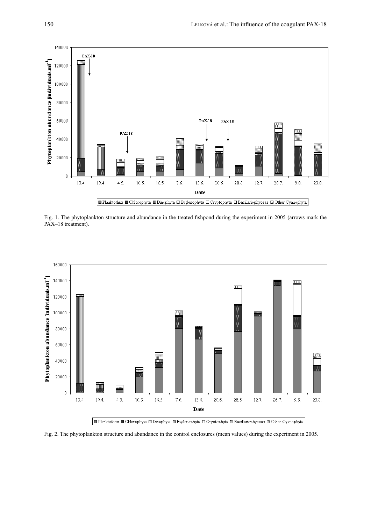

Fig. 1. The phytoplankton structure and abundance in the treated fishpond during the experiment in 2005 (arrows mark the PAX-18 treatment).



■ Planktothrix ■ Chlorophyta ■ Dinophyta ■ Euglenophyta □ Cryptophyta ■ Bacillariophyceae ■ Other Cyanophyta

Fig. 2. The phytoplankton structure and abundance in the control enclosures (mean values) during the experiment in 2005.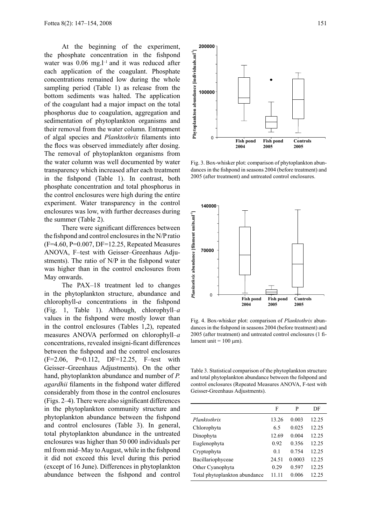At the beginning of the experiment, the phosphate concentration in the fishpond water was  $0.06$  mg. $l^{-1}$  and it was reduced after each application of the coagulant. Phosphate concentrations remained low during the whole sampling period (Table 1) as release from the bottom sediments was halted. The application of the coagulant had a major impact on the total phosphorus due to coagulation, aggregation and sedimentation of phytoplankton organisms and their removal from the water column. Entrapment of algal species and *Planktothrix* filaments into the flocs was observed immediately after dosing. The removal of phytoplankton organisms from the water column was well documented by water transparency which increased after each treatment in the fishpond (Table 1). In contrast, both phosphate concentration and total phosphorus in the control enclosures were high during the entire experiment. Water transparency in the control enclosures was low, with further decreases during the summer (Table 2).

There were significant differences between the fishpond and control enclosures in the N/P ratio (F=4.60, P=0.007, DF=12.25, Repeated Measures ANOVA, F–test with Geisser–Greenhaus Adjustments). The ratio of N/P in the fishpond water was higher than in the control enclosures from May onwards.

The PAX–18 treatment led to changes in the phytoplankton structure, abundance and chlorophyll-*a* concentrations in the fishpond (Fig. 1, Table 1). Although, chlorophyll–*a* values in the fishpond were mostly lower than in the control enclosures (Tables 1,2), repeated measures ANOVA performed on chlorophyll–*a* concentrations, revealed insigni-ficant differences between the fishpond and the control enclosures (F=2.06, P=0.112, DF=12.25, F–test with Geisser–Greenhaus Adjustments). On the other hand, phytoplankton abundance and number of *P. agardhii* filaments in the fishpond water differed considerably from those in the control enclosures (Figs. 2–4). There were also significant differences in the phytoplankton community structure and phytoplankton abundance between the fishpond and control enclosures (Table 3). In general, total phytoplankton abundance in the untreated enclosures was higher than 50 000 individuals per ml from mid–May to August, while in the fishpond it did not exceed this level during this period (except of 16 June). Differences in phytoplankton abundance between the fishpond and control



Fig. 3. Box-whisker plot: comparison of phytoplankton abundances in the fishpond in seasons 2004 (before treatment) and 2005 (after treatment) and untreated control enclosures.



Fig. 4. Box-whisker plot: comparison of *Planktothrix* abundances in the fishpond in seasons 2004 (before treatment) and 2005 (after treatment) and untreated control enclosures (1 filament unit =  $100 \mu m$ ).

Table 3. Statistical comparison of the phytoplankton structure and total phytoplankton abundance between the fishpond and control enclosures (Repeated Measures ANOVA, F-test with Geisser-Greenhaus Adjustments).

|                               | F          | P      | DF    |
|-------------------------------|------------|--------|-------|
| Planktothrix                  | 13.26      | 0.003  | 12.25 |
| Chlorophyta                   | 65         | 0.025  | 12.25 |
| Dinophyta                     | 12.69      | 0.004  | 12.25 |
| Euglenophyta                  | 0.92       | 0.356  | 12.25 |
| Cryptophyta                   | $\Omega$ 1 | 0.754  | 12.25 |
| Bacillariophyceae             | 24.51      | 0.0003 | 12.25 |
| Other Cyanophyta              | 0.29       | 0.597  | 12.25 |
| Total phytoplankton abundance | 11 11      | 0.006  | 12.25 |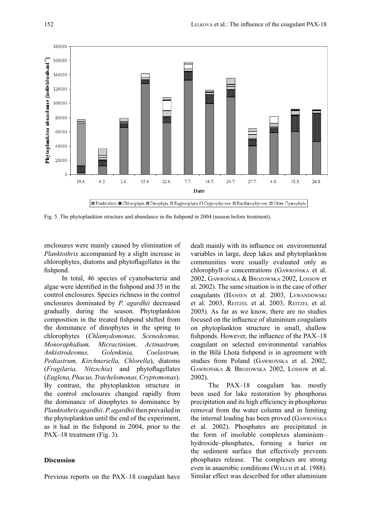

Fig. 5. The phytoplankton structure and abundance in the fishpond in 2004 (season before treatment).

enclosures were mainly caused by elimination of *Planktothrix* accompanied by a slight increase in chlorophytes, diatoms and phytoflagellates in the fishpond.

In total, 46 species of cyanobacteria and algae were identified in the fishpond and 35 in the control enclosures. Species richness in the control enclosures dominated by *P. agardhii* decreased gradually during the season. Phytoplankton composition in the treated fishpond shifted from the dominance of dinophytes in the spring to chlorophytes (*Chlamydomonas, Scenedesmus, Monoraphidium, Micractinium, Actinastrum, Ankistrodesmus, Golenkinia, Coelastrum, Pediastrum, Kirchneriella, Chlorella*), diatoms (*Fragilaria, Nitzschia*) and phytoflagellates (*Euglena, Phacus, Trachelomonas, Cryptomonas*). By contrast, the phytoplankton structure in the control enclosures changed rapidly from the dominance of dinophytes to dominance by *Planktothrix agardhii*. *P. agardhii* then prevailed in the phytoplankton until the end of the experiment, as it had in the fishpond in 2004, prior to the PAX–18 treatment (Fig. 3).

## **Discussion**

Previous reports on the PAX–18 coagulant have

dealt mainly with its influence on environmental variables in large, deep lakes and phytoplankton communities were usually evaluated only as chlorophyll–*a* concentrations (Gawrońska et al. 2002, Gawrońska & Brozowska 2002, Lossow et al. 2002). The same situation is in the case of other coagulants (HANSEN et al. 2003, LEWANDOWSKI et al. 2003, REITZEL et al. 2003, REITZEL et al. 2005). As far as we know, there are no studies focused on the influence of aluminium coagulants on phytoplankton structure in small, shallow fishponds. However, the influence of the PAX–18 coagulant on selected environmental variables in the Bílá Lhota fishpond is in agreement with studies from Poland (Gawrońska et al. 2002, Gawrońska & Brozowska 2002, Lossow et al. 2002).

The PAX–18 coagulant has mostly been used for lake restoration by phosphorus precipitation and its high efficiency in phosphorus removal from the water column and in limiting the internal loading has been proved (Gawrońska et al. 2002). Phosphates are precipitated in the form of insoluble complexes aluminium– hydroxide–phosphates, forming a barier on the sediment surface that effectively prevents phosphates release. The complexes are strong even in anaerobic conditions (WELCH et al. 1988). Similar effect was described for other aluminium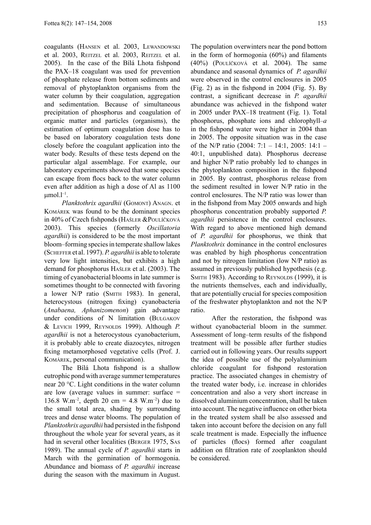coagulants (HANSEN et al. 2003, LEWANDOWSKI et al. 2003, REITZEL et al. 2003, REITZEL et al. 2005). In the case of the Bílá Lhota fishpond the PAX–18 coagulant was used for prevention of phosphate release from bottom sediments and removal of phytoplankton organisms from the water column by their coagulation, aggregation and sedimentation. Because of simultaneous precipitation of phosphorus and coagulation of organic matter and particles (organisms), the estimation of optimum coagulation dose has to be based on laboratory coagulation tests done closely before the coagulant application into the water body. Results of these tests depend on the particular algal assemblage. For example, our laboratory experiments showed that some species can escape from flocs back to the water column even after addition as high a dose of Al as 1100  $\mu$ mol.l<sup>-1</sup>.

*Planktothrix agardhii* (Gomont) Anagn. et Komárek was found to be the dominant species in 40% of Czech fishponds (Hašler &Poulíčková 2003). This species (formerly *Oscillatoria agardhii*) is considered to be the most important bloom–forming species in temperate shallow lakes (Scheffer et al. 1997). *P. agardhii* is able to tolerate very low light intensities, but exhibits a high demand for phosphorus Hašler et al. (2003). The timing of cyanobacterial blooms in late summer is sometimes thought to be connected with favoring a lower N/P ratio (SMITH 1983). In general, heterocystous (nitrogen fixing) cyanobacteria (*Anabaena, Aphanizomenon*) gain advantage under conditions of N limitation (Bulgakov & Levich 1999, Reynolds 1999). Although *P. agardhii* is not a heterocystous cyanobacterium, it is probably able to create diazocytes, nitrogen fixing metamorphosed vegetative cells (Prof. J. Komárek, personal communication).

The Bílá Lhota fishpond is a shallow eutrophic pond with average summer temperatures near 20 °C. Light conditions in the water column are low (average values in summer: surface = 136.8 W.m<sup>-2</sup>, depth 20 cm = 4.8 W.m<sup>-2</sup>) due to the small total area, shading by surrounding trees and dense water blooms. The population of *Planktothrix agardhii* had persisted in the fishpond throughout the whole year for several years, as it had in several other localities (BERGER 1975, SAS 1989). The annual cycle of *P. agardhii* starts in March with the germination of hormogonia. Abundance and biomass of *P. agardhii* increase during the season with the maximum in August.

The population overwinters near the pond bottom in the form of hormogonia (60%) and filaments (40%) (Poulíčková et al. 2004). The same abundance and seasonal dynamics of *P. agardhii* were observed in the control enclosures in 2005 (Fig. 2) as in the fishpond in 2004 (Fig. 5). By contrast, a significant decrease in *P. agardhii* abundance was achieved in the fishpond water in 2005 under PAX–18 treatment (Fig. 1). Total phosphorus, phosphate ions and chlorophyll–*a*  in the fishpond water were higher in 2004 than in 2005. The opposite situation was in the case of the N/P ratio (2004: 7:1 – 14:1, 2005: 14:1 – 40:1, unpublished data). Phosphorus decrease and higher N/P ratio probably led to changes in the phytoplankton composition in the fishpond in 2005. By contrast, phosphorus release from the sediment resulted in lower N/P ratio in the control enclosures. The N/P ratio was lower than in the fishpond from May 2005 onwards and high phosphorus concentration probably supported *P. agardhii* persistence in the control enclosures. With regard to above mentioned high demand of *P. agardhii* for phosphorus, we think that *Planktothrix* dominance in the control enclosures was enabled by high phosphorus concentration and not by nitrogen limitation (low N/P ratio) as assumed in previously published hypothesis (e.g. SMITH 1983). According to REYNOLDS (1999), it is the nutrients themselves, each and individually, that are potentially crucial for species composition of the freshwater phytoplankton and not the N/P ratio.

 After the restoration, the fishpond was without cyanobacterial bloom in the summer. Assessment of long–term results of the fishpond treatment will be possible after further studies carried out in following years. Our results support the idea of possible use of the polyaluminium chloride coagulant for fishpond restoration practice. The associated changes in chemistry of the treated water body, i.e. increase in chlorides concentration and also a very short increase in dissolved aluminium concentration, shall be taken into account. The negative influence on other biota in the treated system shall be also assessed and taken into account before the decision on any full scale treatment is made. Especially the influence of particles (flocs) formed after coagulant addition on filtration rate of zooplankton should be considered.